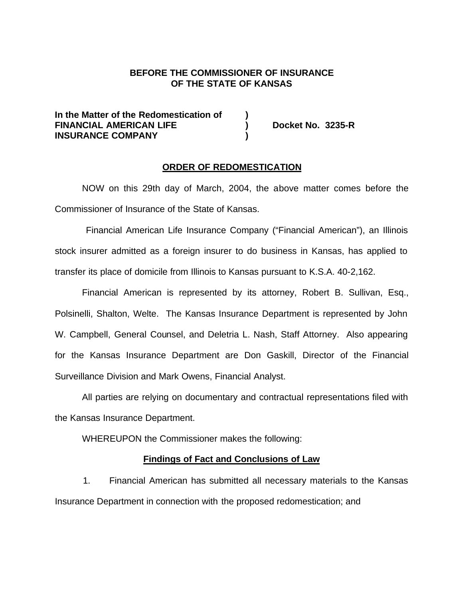# **BEFORE THE COMMISSIONER OF INSURANCE OF THE STATE OF KANSAS**

### **In the Matter of the Redomestication of ) FINANCIAL AMERICAN LIFE ) Docket No. 3235-R INSURANCE COMPANY )**

#### **ORDER OF REDOMESTICATION**

NOW on this 29th day of March, 2004, the above matter comes before the Commissioner of Insurance of the State of Kansas.

 Financial American Life Insurance Company ("Financial American"), an Illinois stock insurer admitted as a foreign insurer to do business in Kansas, has applied to transfer its place of domicile from Illinois to Kansas pursuant to K.S.A. 40-2,162.

Financial American is represented by its attorney, Robert B. Sullivan, Esq., Polsinelli, Shalton, Welte. The Kansas Insurance Department is represented by John W. Campbell, General Counsel, and Deletria L. Nash, Staff Attorney. Also appearing for the Kansas Insurance Department are Don Gaskill, Director of the Financial Surveillance Division and Mark Owens, Financial Analyst.

All parties are relying on documentary and contractual representations filed with the Kansas Insurance Department.

WHEREUPON the Commissioner makes the following:

#### **Findings of Fact and Conclusions of Law**

1. Financial American has submitted all necessary materials to the Kansas Insurance Department in connection with the proposed redomestication; and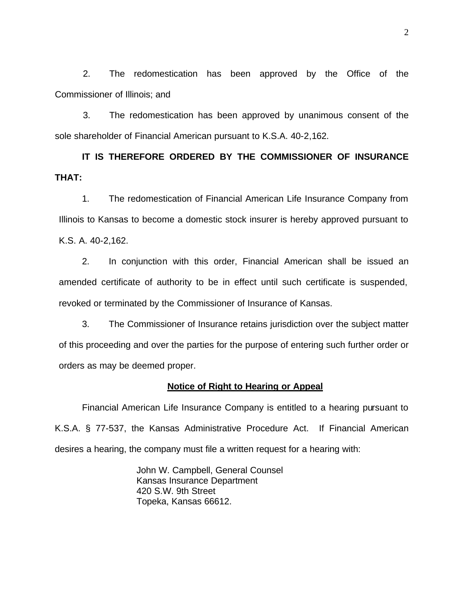2. The redomestication has been approved by the Office of the Commissioner of Illinois; and

3. The redomestication has been approved by unanimous consent of the sole shareholder of Financial American pursuant to K.S.A. 40-2,162.

**IT IS THEREFORE ORDERED BY THE COMMISSIONER OF INSURANCE THAT:**

1. The redomestication of Financial American Life Insurance Company from Illinois to Kansas to become a domestic stock insurer is hereby approved pursuant to K.S. A. 40-2,162.

2. In conjunction with this order, Financial American shall be issued an amended certificate of authority to be in effect until such certificate is suspended, revoked or terminated by the Commissioner of Insurance of Kansas.

3. The Commissioner of Insurance retains jurisdiction over the subject matter of this proceeding and over the parties for the purpose of entering such further order or orders as may be deemed proper.

### **Notice of Right to Hearing or Appeal**

Financial American Life Insurance Company is entitled to a hearing pursuant to K.S.A. § 77-537, the Kansas Administrative Procedure Act. If Financial American desires a hearing, the company must file a written request for a hearing with:

> John W. Campbell, General Counsel Kansas Insurance Department 420 S.W. 9th Street Topeka, Kansas 66612.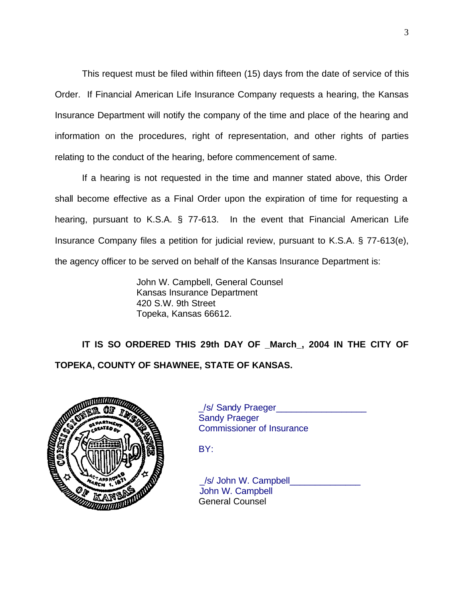This request must be filed within fifteen (15) days from the date of service of this Order. If Financial American Life Insurance Company requests a hearing, the Kansas Insurance Department will notify the company of the time and place of the hearing and information on the procedures, right of representation, and other rights of parties relating to the conduct of the hearing, before commencement of same.

If a hearing is not requested in the time and manner stated above, this Order shall become effective as a Final Order upon the expiration of time for requesting a hearing, pursuant to K.S.A. § 77-613. In the event that Financial American Life Insurance Company files a petition for judicial review, pursuant to K.S.A. § 77-613(e), the agency officer to be served on behalf of the Kansas Insurance Department is:

> John W. Campbell, General Counsel Kansas Insurance Department 420 S.W. 9th Street Topeka, Kansas 66612.

**IT IS SO ORDERED THIS 29th DAY OF \_March\_, 2004 IN THE CITY OF TOPEKA, COUNTY OF SHAWNEE, STATE OF KANSAS.**



\_/s/ Sandy Praeger\_\_\_\_\_\_\_\_\_\_\_\_\_\_\_\_\_\_ Sandy Praeger Commissioner of Insurance

BY:

/s/ John W. Campbell John W. Campbell General Counsel